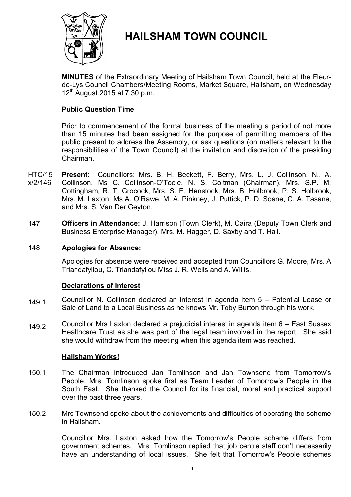

# **HAILSHAM TOWN COUNCIL**

**MINUTES** of the Extraordinary Meeting of Hailsham Town Council, held at the Fleurde-Lys Council Chambers/Meeting Rooms, Market Square, Hailsham, on Wednesday 12<sup>th</sup> August 2015 at 7.30 p.m.

## **Public Question Time**

Prior to commencement of the formal business of the meeting a period of not more than 15 minutes had been assigned for the purpose of permitting members of the public present to address the Assembly, or ask questions (on matters relevant to the responsibilities of the Town Council) at the invitation and discretion of the presiding Chairman.

- $HTC/15$ x/2/146 **Present:** Councillors: Mrs. B. H. Beckett, F. Berry, Mrs. L. J. Collinson, N.. A. Collinson, Ms C. Collinson-O'Toole, N. S. Coltman (Chairman), Mrs. S.P. M. Cottingham, R. T. Grocock, Mrs. S. E. Henstock, Mrs. B. Holbrook, P. S. Holbrook, Mrs. M. Laxton, Ms A. O'Rawe, M. A. Pinkney, J. Puttick, P. D. Soane, C. A. Tasane, and Mrs. S. Van Der Geyton.
- 147 **Officers in Attendance:** J. Harrison (Town Clerk), M. Caira (Deputy Town Clerk and Business Enterprise Manager), Mrs. M. Hagger, D. Saxby and T. Hall.

### 148 **Apologies for Absence:**

Apologies for absence were received and accepted from Councillors G. Moore, Mrs. A Triandafyllou, C. Triandafyllou Miss J. R. Wells and A. Willis.

### **Declarations of Interest**

- 149.1 Councillor N. Collinson declared an interest in agenda item 5 – Potential Lease or Sale of Land to a Local Business as he knows Mr. Toby Burton through his work.
- 149.2 Councillor Mrs Laxton declared a prejudicial interest in agenda item 6 – East Sussex Healthcare Trust as she was part of the legal team involved in the report. She said she would withdraw from the meeting when this agenda item was reached.

### **Hailsham Works!**

- 150.1 The Chairman introduced Jan Tomlinson and Jan Townsend from Tomorrow's People. Mrs. Tomlinson spoke first as Team Leader of Tomorrow's People in the South East. She thanked the Council for its financial, moral and practical support over the past three years.
- 150.2 Mrs Townsend spoke about the achievements and difficulties of operating the scheme in Hailsham.

Councillor Mrs. Laxton asked how the Tomorrow's People scheme differs from government schemes. Mrs. Tomlinson replied that job centre staff don't necessarily have an understanding of local issues. She felt that Tomorrow's People schemes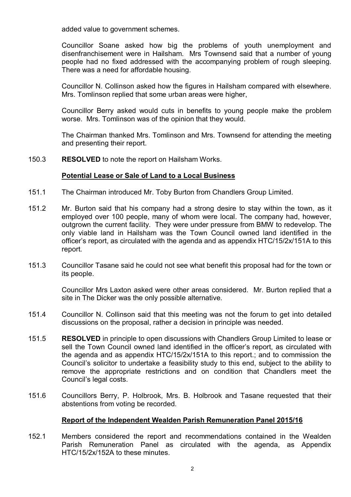added value to government schemes.

Councillor Soane asked how big the problems of youth unemployment and disenfranchisement were in Hailsham. Mrs Townsend said that a number of young people had no fixed addressed with the accompanying problem of rough sleeping. There was a need for affordable housing.

Councillor N. Collinson asked how the figures in Hailsham compared with elsewhere. Mrs. Tomlinson replied that some urban areas were higher,

Councillor Berry asked would cuts in benefits to young people make the problem worse. Mrs. Tomlinson was of the opinion that they would.

The Chairman thanked Mrs. Tomlinson and Mrs. Townsend for attending the meeting and presenting their report.

150.3 **RESOLVED** to note the report on Hailsham Works.

#### **Potential Lease or Sale of Land to a Local Business**

- 151.1 The Chairman introduced Mr. Toby Burton from Chandlers Group Limited.
- 151.2 Mr. Burton said that his company had a strong desire to stay within the town, as it employed over 100 people, many of whom were local. The company had, however, outgrown the current facility. They were under pressure from BMW to redevelop. The only viable land in Hailsham was the Town Council owned land identified in the officer's report, as circulated with the agenda and as appendix HTC/15/2x/151A to this report.
- 151.3 Councillor Tasane said he could not see what benefit this proposal had for the town or its people.

Councillor Mrs Laxton asked were other areas considered. Mr. Burton replied that a site in The Dicker was the only possible alternative.

- 151.4 Councillor N. Collinson said that this meeting was not the forum to get into detailed discussions on the proposal, rather a decision in principle was needed.
- 151.5 **RESOLVED** in principle to open discussions with Chandlers Group Limited to lease or sell the Town Council owned land identified in the officer's report, as circulated with the agenda and as appendix HTC/15/2x/151A to this report.; and to commission the Council's solicitor to undertake a feasibility study to this end, subject to the ability to remove the appropriate restrictions and on condition that Chandlers meet the Council's legal costs.
- 151.6 Councillors Berry, P. Holbrook, Mrs. B. Holbrook and Tasane requested that their abstentions from voting be recorded.

#### **Report of the Independent Wealden Parish Remuneration Panel 2015/16**

152.1 Members considered the report and recommendations contained in the Wealden Parish Remuneration Panel as circulated with the agenda, as Appendix HTC/15/2x/152A to these minutes.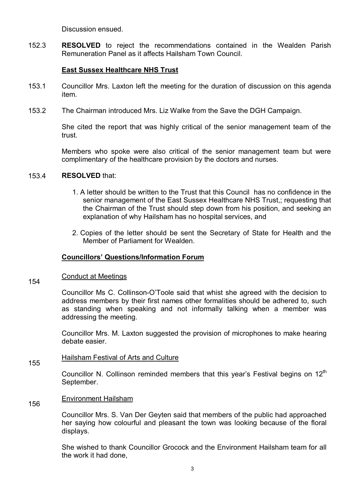Discussion ensued.

152.3 **RESOLVED** to reject the recommendations contained in the Wealden Parish Remuneration Panel as it affects Hailsham Town Council.

### **East Sussex Healthcare NHS Trust**

- 153.1 Councillor Mrs. Laxton left the meeting for the duration of discussion on this agenda item.
- 153.2 The Chairman introduced Mrs. Liz Walke from the Save the DGH Campaign.

She cited the report that was highly critical of the senior management team of the trust.

Members who spoke were also critical of the senior management team but were complimentary of the healthcare provision by the doctors and nurses.

#### 153.4 **RESOLVED** that:

- 1. A letter should be written to the Trust that this Council has no confidence in the senior management of the East Sussex Healthcare NHS Trust,; requesting that the Chairman of the Trust should step down from his position, and seeking an explanation of why Hailsham has no hospital services, and
- 2. Copies of the letter should be sent the Secretary of State for Health and the Member of Parliament for Wealden.

### **Councillors' Questions/Information Forum**

#### 154 Conduct at Meetings

Councillor Ms C. Collinson-O'Toole said that whist she agreed with the decision to address members by their first names other formalities should be adhered to, such as standing when speaking and not informally talking when a member was addressing the meeting.

Councillor Mrs. M. Laxton suggested the provision of microphones to make hearing debate easier.

#### 155 Hailsham Festival of Arts and Culture

Councillor N. Collinson reminded members that this year's Festival begins on  $12<sup>th</sup>$ September.

#### 156 Environment Hailsham

Councillor Mrs. S. Van Der Geyten said that members of the public had approached her saying how colourful and pleasant the town was looking because of the floral displays.

She wished to thank Councillor Grocock and the Environment Hailsham team for all the work it had done,